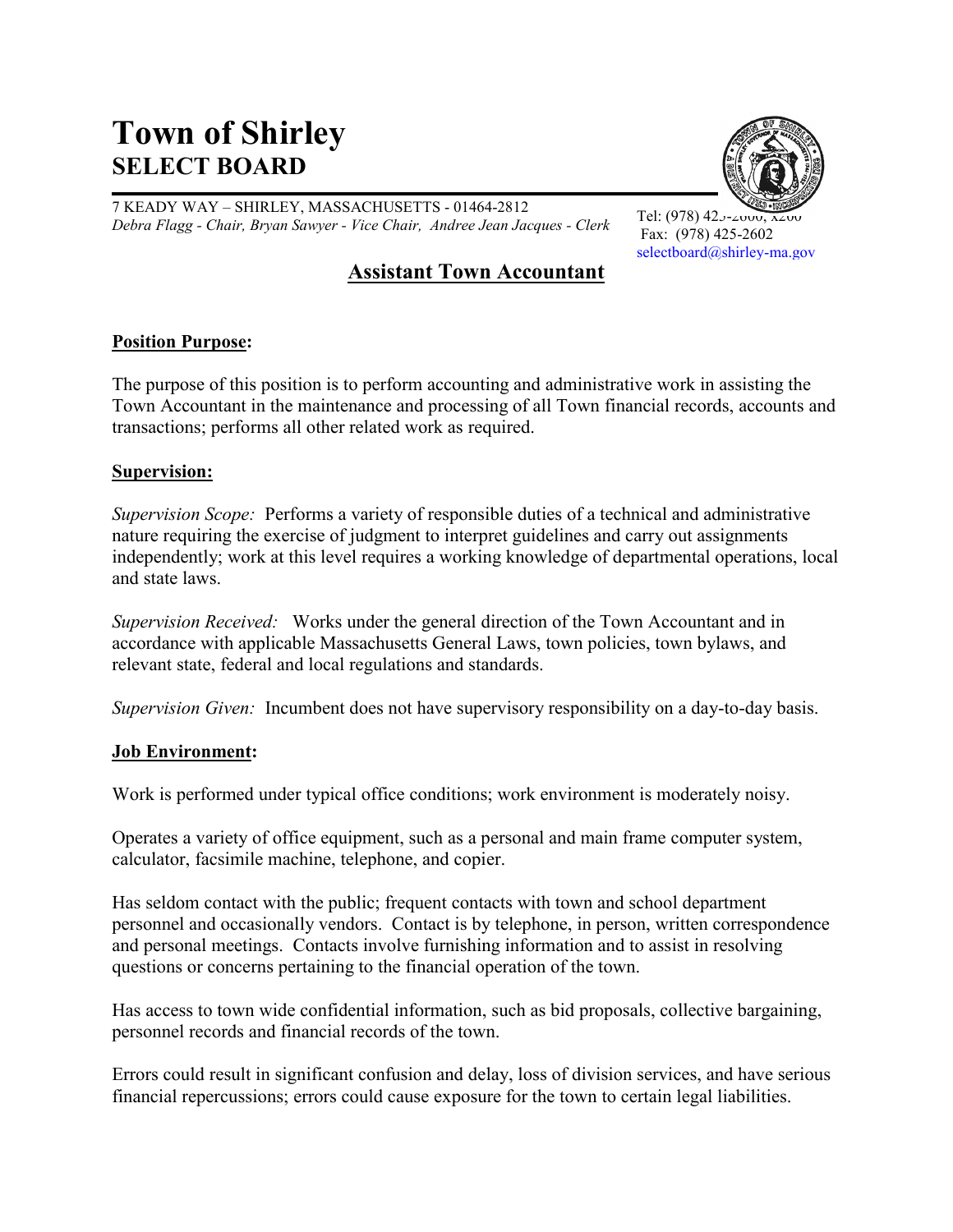# **Town of Shirley SELECT BOARD**

7 KEADY WAY – SHIRLEY, MASSACHUSETTS - 01464-2812 *Debra Flagg - Chair, Bryan Sawyer - Vice Chair, Andree Jean Jacques - Clerk*



Tel: (978)  $423 - 2000$ Fax: (978) 425-2602 [selectboard@shirley-ma.gov](mailto:selectboard@shirley-ma.gov)

# **Assistant Town Accountant**

# **Position Purpose:**

The purpose of this position is to perform accounting and administrative work in assisting the Town Accountant in the maintenance and processing of all Town financial records, accounts and transactions; performs all other related work as required.

### **Supervision:**

*Supervision Scope:* Performs a variety of responsible duties of a technical and administrative nature requiring the exercise of judgment to interpret guidelines and carry out assignments independently; work at this level requires a working knowledge of departmental operations, local and state laws.

*Supervision Received:* Works under the general direction of the Town Accountant and in accordance with applicable Massachusetts General Laws, town policies, town bylaws, and relevant state, federal and local regulations and standards.

*Supervision Given:* Incumbent does not have supervisory responsibility on a day-to-day basis.

#### **Job Environment:**

Work is performed under typical office conditions; work environment is moderately noisy.

Operates a variety of office equipment, such as a personal and main frame computer system, calculator, facsimile machine, telephone, and copier.

Has seldom contact with the public; frequent contacts with town and school department personnel and occasionally vendors. Contact is by telephone, in person, written correspondence and personal meetings. Contacts involve furnishing information and to assist in resolving questions or concerns pertaining to the financial operation of the town.

Has access to town wide confidential information, such as bid proposals, collective bargaining, personnel records and financial records of the town.

Errors could result in significant confusion and delay, loss of division services, and have serious financial repercussions; errors could cause exposure for the town to certain legal liabilities.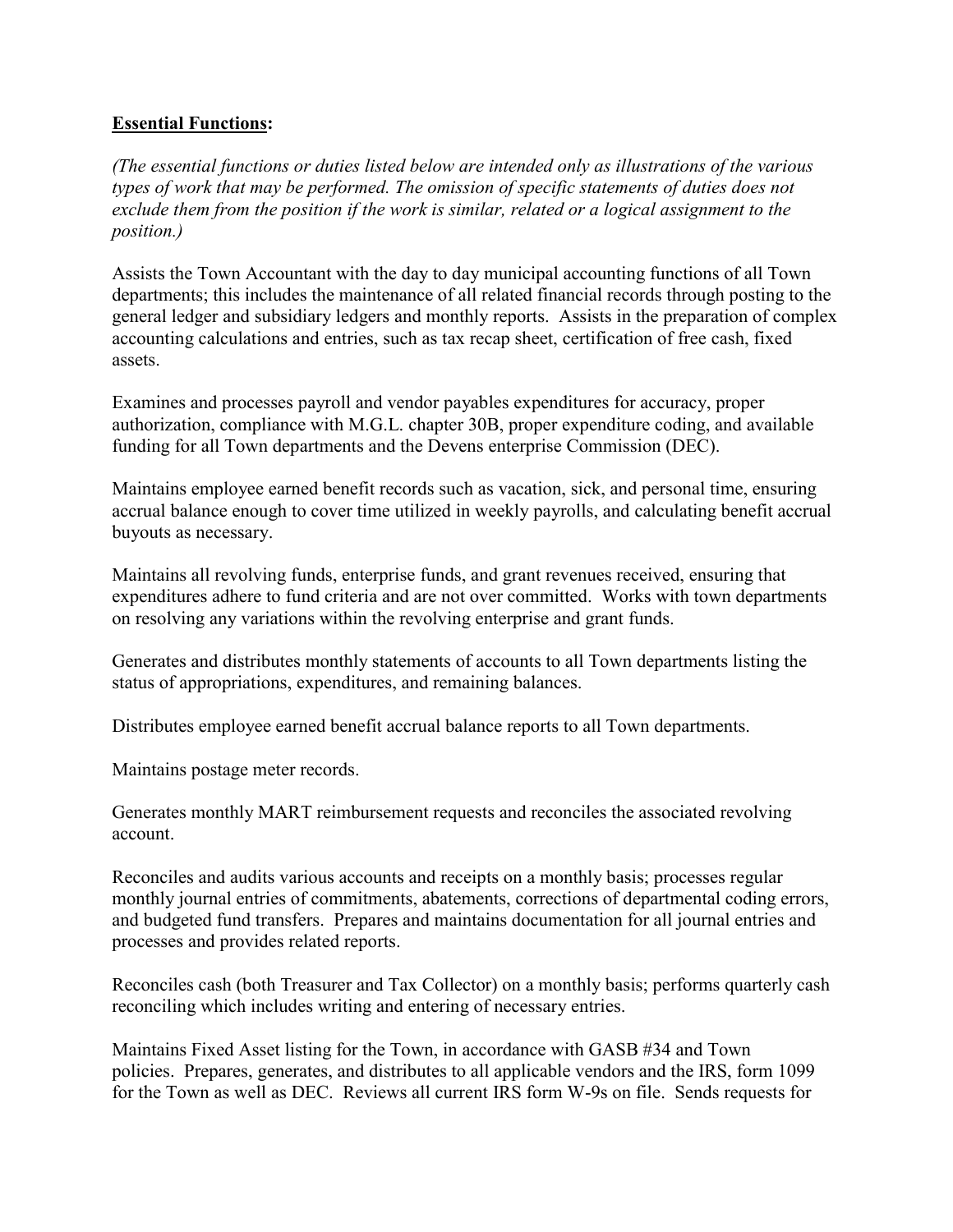# **Essential Functions:**

*(The essential functions or duties listed below are intended only as illustrations of the various types of work that may be performed. The omission of specific statements of duties does not exclude them from the position if the work is similar, related or a logical assignment to the position.)*

Assists the Town Accountant with the day to day municipal accounting functions of all Town departments; this includes the maintenance of all related financial records through posting to the general ledger and subsidiary ledgers and monthly reports. Assists in the preparation of complex accounting calculations and entries, such as tax recap sheet, certification of free cash, fixed assets.

Examines and processes payroll and vendor payables expenditures for accuracy, proper authorization, compliance with M.G.L. chapter 30B, proper expenditure coding, and available funding for all Town departments and the Devens enterprise Commission (DEC).

Maintains employee earned benefit records such as vacation, sick, and personal time, ensuring accrual balance enough to cover time utilized in weekly payrolls, and calculating benefit accrual buyouts as necessary.

Maintains all revolving funds, enterprise funds, and grant revenues received, ensuring that expenditures adhere to fund criteria and are not over committed. Works with town departments on resolving any variations within the revolving enterprise and grant funds.

Generates and distributes monthly statements of accounts to all Town departments listing the status of appropriations, expenditures, and remaining balances.

Distributes employee earned benefit accrual balance reports to all Town departments.

Maintains postage meter records.

Generates monthly MART reimbursement requests and reconciles the associated revolving account.

Reconciles and audits various accounts and receipts on a monthly basis; processes regular monthly journal entries of commitments, abatements, corrections of departmental coding errors, and budgeted fund transfers. Prepares and maintains documentation for all journal entries and processes and provides related reports.

Reconciles cash (both Treasurer and Tax Collector) on a monthly basis; performs quarterly cash reconciling which includes writing and entering of necessary entries.

Maintains Fixed Asset listing for the Town, in accordance with GASB #34 and Town policies. Prepares, generates, and distributes to all applicable vendors and the IRS, form 1099 for the Town as well as DEC. Reviews all current IRS form W-9s on file. Sends requests for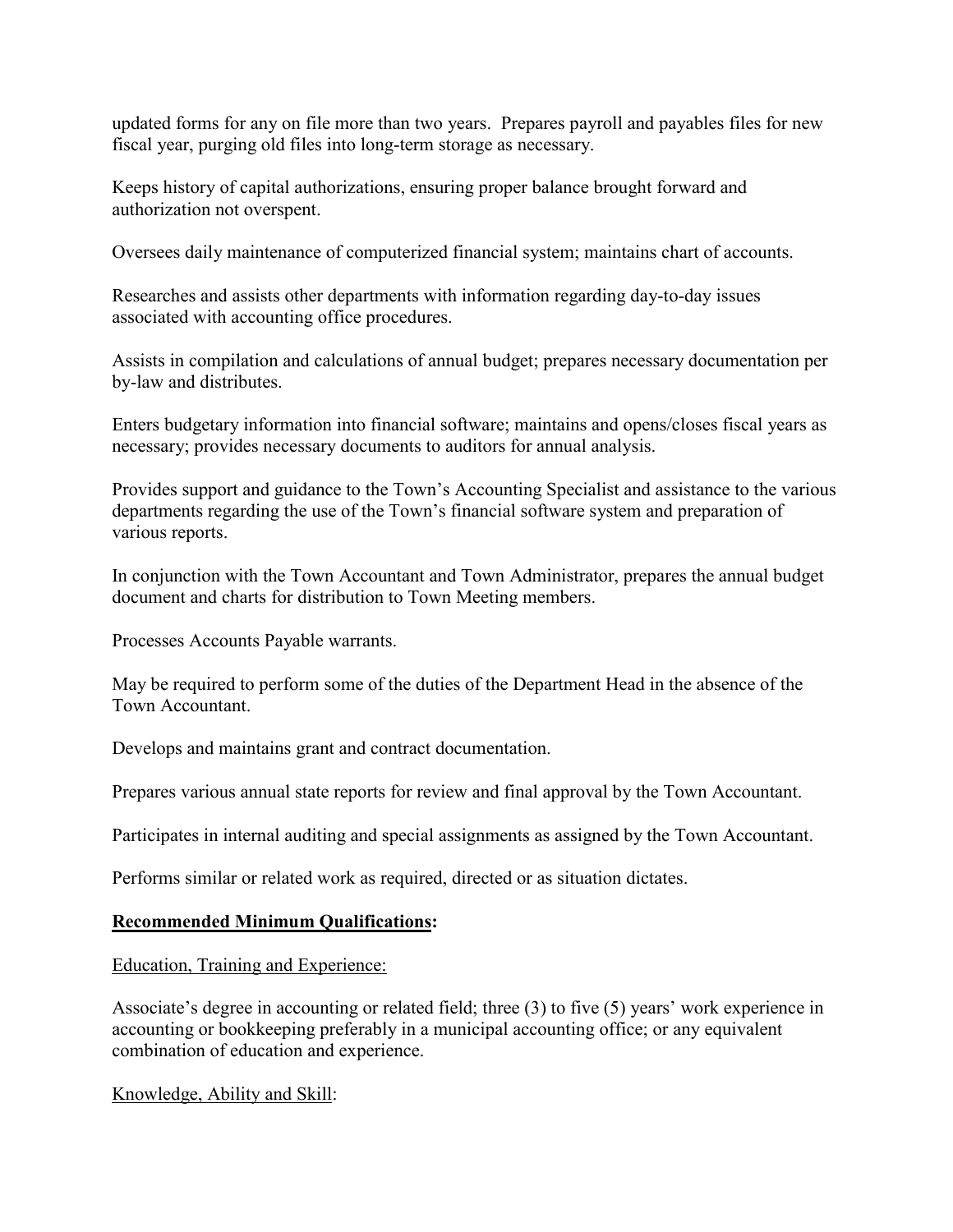updated forms for any on file more than two years. Prepares payroll and payables files for new fiscal year, purging old files into long-term storage as necessary.

Keeps history of capital authorizations, ensuring proper balance brought forward and authorization not overspent.

Oversees daily maintenance of computerized financial system; maintains chart of accounts.

Researches and assists other departments with information regarding day-to-day issues associated with accounting office procedures.

Assists in compilation and calculations of annual budget; prepares necessary documentation per by-law and distributes.

Enters budgetary information into financial software; maintains and opens/closes fiscal years as necessary; provides necessary documents to auditors for annual analysis.

Provides support and guidance to the Town's Accounting Specialist and assistance to the various departments regarding the use of the Town's financial software system and preparation of various reports.

In conjunction with the Town Accountant and Town Administrator, prepares the annual budget document and charts for distribution to Town Meeting members.

Processes Accounts Payable warrants.

May be required to perform some of the duties of the Department Head in the absence of the Town Accountant.

Develops and maintains grant and contract documentation.

Prepares various annual state reports for review and final approval by the Town Accountant.

Participates in internal auditing and special assignments as assigned by the Town Accountant.

Performs similar or related work as required, directed or as situation dictates.

# **Recommended Minimum Qualifications:**

Education, Training and Experience:

Associate's degree in accounting or related field; three (3) to five (5) years' work experience in accounting or bookkeeping preferably in a municipal accounting office; or any equivalent combination of education and experience.

Knowledge, Ability and Skill: